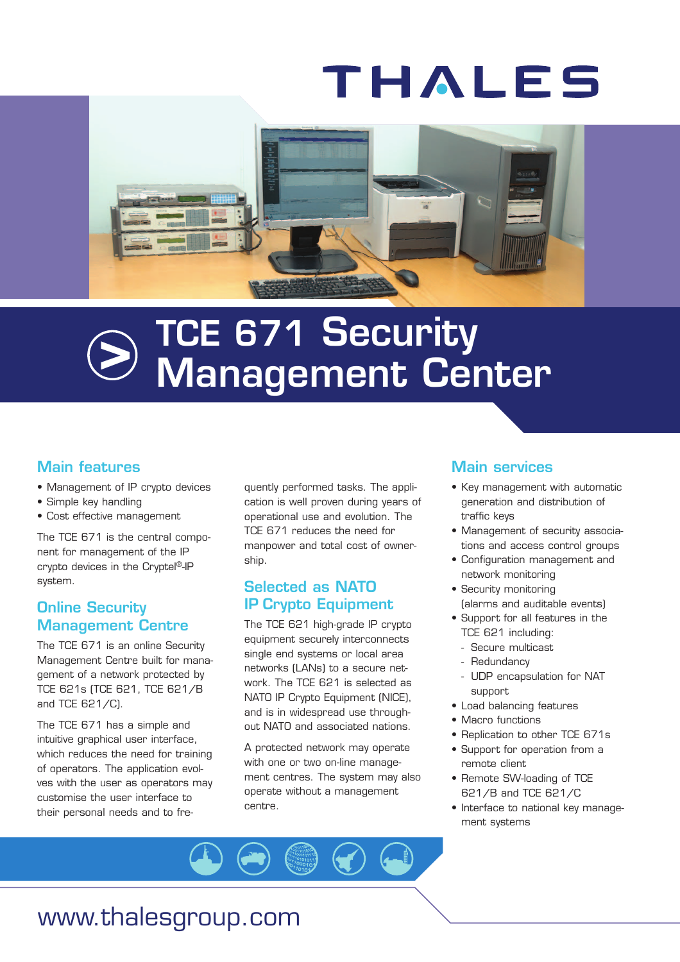



# TCE 671 Security **>** Management Center

# Main features

- Management of IP crypto devices
- Simple key handling
- Cost effective management

The TCE 671 is the central component for management of the IP crypto devices in the Cryptel®-IP system.

# **Online Security** Management Centre

The TCE 671 is an online Security Management Centre built for management of a network protected by TCE 621s (TCE 621, TCE 621/B and TCE 621/C).

The TCE 671 has a simple and intuitive graphical user interface, which reduces the need for training of operators. The application evolves with the user as operators may customise the user interface to their personal needs and to fre-

quently performed tasks. The application is well proven during years of operational use and evolution. The TCE 671 reduces the need for manpower and total cost of ownership.

# Selected as NATO IP Crypto Equipment

The TCE 621 high-grade IP crypto equipment securely interconnects single end systems or local area networks (LANs) to a secure network. The TCE 621 is selected as NATO IP Crypto Equipment (NICE), and is in widespread use throughout NATO and associated nations.

A protected network may operate with one or two on-line management centres. The system may also operate without a management centre.

# Main services

- Key management with automatic generation and distribution of traffic keys
- Management of security associations and access control groups
- Configuration management and network monitoring
- Security monitoring (alarms and auditable events)
- Support for all features in the TCE 621 including:
	- Secure multicast
- Redundancy
- UDP encapsulation for NAT support
- Load balancing features
- Macro functions
- Replication to other TCE 671s
- Support for operation from a remote client
- Remote SW-loading of TCE 621/B and TCE 621/C
- Interface to national key management systems

www.thalesgroup.com